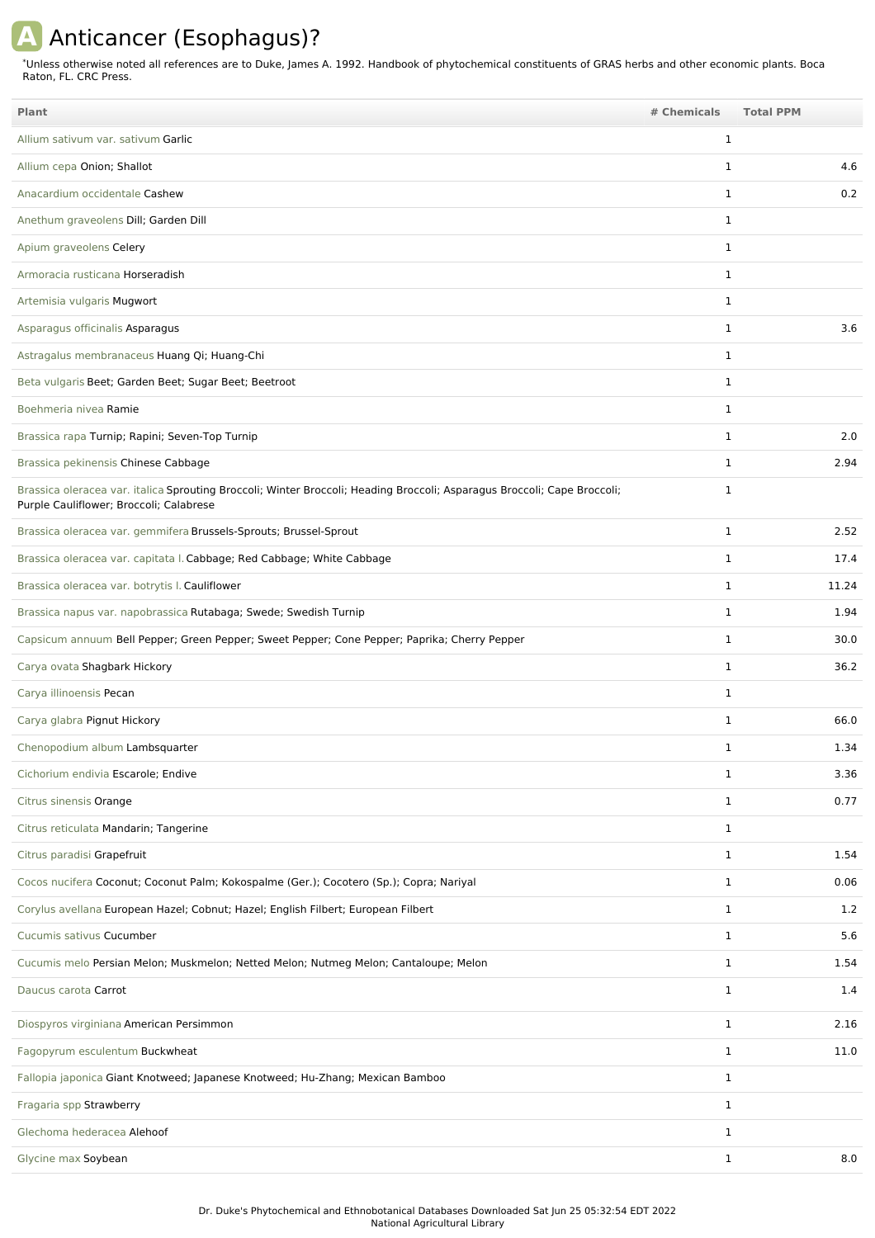## **A** Anticancer (Esophagus)?

Unless otherwise noted all references are to Duke, James A. 1992. Handbook of phytochemical constituents of GRAS herbs and other economic plants. Boca Raton, FL. CRC Press. \*

| <b>Plant</b>                                                                                                                                                        | # Chemicals  | <b>Total PPM</b> |
|---------------------------------------------------------------------------------------------------------------------------------------------------------------------|--------------|------------------|
| Allium sativum var. sativum Garlic                                                                                                                                  | $\mathbf{1}$ |                  |
| Allium cepa Onion; Shallot                                                                                                                                          | $\mathbf{1}$ | 4.6              |
| Anacardium occidentale Cashew                                                                                                                                       | 1            | 0.2              |
| Anethum graveolens Dill; Garden Dill                                                                                                                                | $\mathbf{1}$ |                  |
| Apium graveolens Celery                                                                                                                                             | 1            |                  |
| Armoracia rusticana Horseradish                                                                                                                                     | $\mathbf{1}$ |                  |
| Artemisia vulgaris Mugwort                                                                                                                                          | 1            |                  |
| Asparagus officinalis Asparagus                                                                                                                                     | $\mathbf{1}$ | 3.6              |
| Astragalus membranaceus Huang Qi; Huang-Chi                                                                                                                         | 1            |                  |
| Beta vulgaris Beet; Garden Beet; Sugar Beet; Beetroot                                                                                                               | $\mathbf{1}$ |                  |
| Boehmeria nivea Ramie                                                                                                                                               | 1            |                  |
| Brassica rapa Turnip; Rapini; Seven-Top Turnip                                                                                                                      | 1            | 2.0              |
| Brassica pekinensis Chinese Cabbage                                                                                                                                 | 1            | 2.94             |
| Brassica oleracea var. italica Sprouting Broccoli; Winter Broccoli; Heading Broccoli; Asparagus Broccoli; Cape Broccoli;<br>Purple Cauliflower; Broccoli; Calabrese | $\mathbf{1}$ |                  |
| Brassica oleracea var. gemmifera Brussels-Sprouts; Brussel-Sprout                                                                                                   | $\mathbf{1}$ | 2.52             |
| Brassica oleracea var. capitata I. Cabbage; Red Cabbage; White Cabbage                                                                                              | 1            | 17.4             |
| Brassica oleracea var. botrytis I. Cauliflower                                                                                                                      | 1            | 11.24            |
| Brassica napus var. napobrassica Rutabaga; Swede; Swedish Turnip                                                                                                    | 1            | 1.94             |
| Capsicum annuum Bell Pepper; Green Pepper; Sweet Pepper; Cone Pepper; Paprika; Cherry Pepper                                                                        | 1            | 30.0             |
| Carya ovata Shagbark Hickory                                                                                                                                        | 1            | 36.2             |
| Carya illinoensis Pecan                                                                                                                                             | $\mathbf{1}$ |                  |
| Carya glabra Pignut Hickory                                                                                                                                         | 1            | 66.0             |
| Chenopodium album Lambsquarter                                                                                                                                      | 1            | 1.34             |
| Cichorium endivia Escarole; Endive                                                                                                                                  | $\mathbf{1}$ | 3.36             |
| Citrus sinensis Orange                                                                                                                                              | $\mathbf{1}$ | 0.77             |
| Citrus reticulata Mandarin; Tangerine                                                                                                                               | $\mathbf{1}$ |                  |
| Citrus paradisi Grapefruit                                                                                                                                          | $\mathbf{1}$ | 1.54             |
| Cocos nucifera Coconut; Coconut Palm; Kokospalme (Ger.); Cocotero (Sp.); Copra; Nariyal                                                                             | $\mathbf{1}$ | 0.06             |
| Corylus avellana European Hazel; Cobnut; Hazel; English Filbert; European Filbert                                                                                   | $\mathbf{1}$ | 1.2              |
| Cucumis sativus Cucumber                                                                                                                                            | $\mathbf{1}$ | 5.6              |
| Cucumis melo Persian Melon; Muskmelon; Netted Melon; Nutmeg Melon; Cantaloupe; Melon                                                                                | 1            | 1.54             |
| Daucus carota Carrot                                                                                                                                                | $\mathbf{1}$ | 1.4              |
| Diospyros virginiana American Persimmon                                                                                                                             | $\mathbf{1}$ | 2.16             |
| Fagopyrum esculentum Buckwheat                                                                                                                                      | 1            | 11.0             |
| Fallopia japonica Giant Knotweed; Japanese Knotweed; Hu-Zhang; Mexican Bamboo                                                                                       | $\mathbf{1}$ |                  |
| Fragaria spp Strawberry                                                                                                                                             | $\mathbf{1}$ |                  |
| Glechoma hederacea Alehoof                                                                                                                                          | $\mathbf{1}$ |                  |
| Glycine max Soybean                                                                                                                                                 | $\mathbf{1}$ | 8.0              |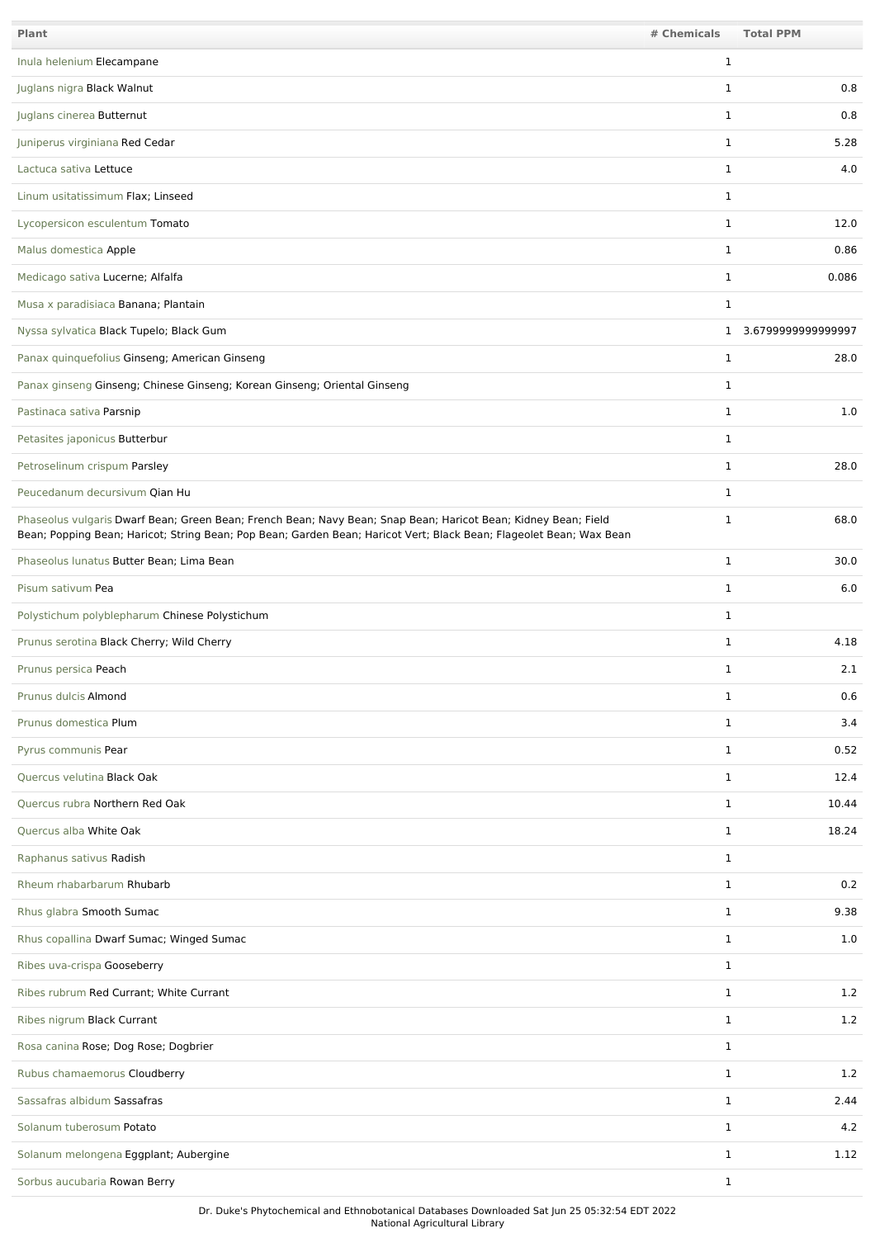| Plant                                                                                                                                                                                                                                 | # Chemicals  | <b>Total PPM</b>     |
|---------------------------------------------------------------------------------------------------------------------------------------------------------------------------------------------------------------------------------------|--------------|----------------------|
| Inula helenium Elecampane                                                                                                                                                                                                             | $\mathbf{1}$ |                      |
| Juglans nigra Black Walnut                                                                                                                                                                                                            | 1            | 0.8                  |
| Juglans cinerea Butternut                                                                                                                                                                                                             | 1            | 0.8                  |
| Juniperus virginiana Red Cedar                                                                                                                                                                                                        | $\mathbf{1}$ | 5.28                 |
| Lactuca sativa Lettuce                                                                                                                                                                                                                | $\mathbf{1}$ | 4.0                  |
| Linum usitatissimum Flax; Linseed                                                                                                                                                                                                     | $\mathbf{1}$ |                      |
| Lycopersicon esculentum Tomato                                                                                                                                                                                                        | $\mathbf{1}$ | 12.0                 |
| Malus domestica Apple                                                                                                                                                                                                                 | $\mathbf{1}$ | 0.86                 |
| Medicago sativa Lucerne; Alfalfa                                                                                                                                                                                                      | $\mathbf{1}$ | 0.086                |
| Musa x paradisiaca Banana; Plantain                                                                                                                                                                                                   | $\mathbf{1}$ |                      |
| Nyssa sylvatica Black Tupelo; Black Gum                                                                                                                                                                                               |              | 1 3.6799999999999997 |
| Panax quinquefolius Ginseng; American Ginseng                                                                                                                                                                                         | $\mathbf{1}$ | 28.0                 |
| Panax ginseng Ginseng; Chinese Ginseng; Korean Ginseng; Oriental Ginseng                                                                                                                                                              | $\mathbf{1}$ |                      |
| Pastinaca sativa Parsnip                                                                                                                                                                                                              | $\mathbf{1}$ | 1.0                  |
| Petasites japonicus Butterbur                                                                                                                                                                                                         | 1            |                      |
| Petroselinum crispum Parsley                                                                                                                                                                                                          | $\mathbf{1}$ | 28.0                 |
| Peucedanum decursivum Qian Hu                                                                                                                                                                                                         | $\mathbf{1}$ |                      |
| Phaseolus vulgaris Dwarf Bean; Green Bean; French Bean; Navy Bean; Snap Bean; Haricot Bean; Kidney Bean; Field<br>Bean; Popping Bean; Haricot; String Bean; Pop Bean; Garden Bean; Haricot Vert; Black Bean; Flageolet Bean; Wax Bean | $\mathbf{1}$ | 68.0                 |
| Phaseolus lunatus Butter Bean; Lima Bean                                                                                                                                                                                              | $\mathbf{1}$ | 30.0                 |
| Pisum sativum Pea                                                                                                                                                                                                                     | $\mathbf{1}$ | 6.0                  |
| Polystichum polyblepharum Chinese Polystichum                                                                                                                                                                                         | $\mathbf{1}$ |                      |
| Prunus serotina Black Cherry; Wild Cherry                                                                                                                                                                                             | $\mathbf{1}$ | 4.18                 |
| Prunus persica Peach                                                                                                                                                                                                                  | $\mathbf{1}$ | 2.1                  |
| Prunus dulcis Almond                                                                                                                                                                                                                  | $\mathbf{1}$ | 0.6                  |
| Prunus domestica Plum                                                                                                                                                                                                                 | $\mathbf{1}$ | 3.4                  |
| Pyrus communis Pear                                                                                                                                                                                                                   | $\mathbf{1}$ | 0.52                 |
| Quercus velutina Black Oak                                                                                                                                                                                                            | $\mathbf{1}$ | 12.4                 |
| Quercus rubra Northern Red Oak                                                                                                                                                                                                        | $\mathbf{1}$ | 10.44                |
| Quercus alba White Oak                                                                                                                                                                                                                | $\mathbf{1}$ | 18.24                |
| Raphanus sativus Radish                                                                                                                                                                                                               | $\mathbf{1}$ |                      |
| Rheum rhabarbarum Rhubarb                                                                                                                                                                                                             | $\mathbf{1}$ | 0.2                  |
| Rhus glabra Smooth Sumac                                                                                                                                                                                                              | $\mathbf{1}$ | 9.38                 |
| Rhus copallina Dwarf Sumac; Winged Sumac                                                                                                                                                                                              | $\mathbf{1}$ | 1.0                  |
| Ribes uva-crispa Gooseberry                                                                                                                                                                                                           | $\mathbf{1}$ |                      |
| Ribes rubrum Red Currant; White Currant                                                                                                                                                                                               | $\mathbf{1}$ | 1.2                  |
| Ribes nigrum Black Currant                                                                                                                                                                                                            | $\mathbf{1}$ | 1.2                  |
| Rosa canina Rose; Dog Rose; Dogbrier                                                                                                                                                                                                  | $\mathbf{1}$ |                      |
| Rubus chamaemorus Cloudberry                                                                                                                                                                                                          | $\mathbf{1}$ | 1.2                  |
| Sassafras albidum Sassafras                                                                                                                                                                                                           | $\mathbf{1}$ | 2.44                 |
| Solanum tuberosum Potato                                                                                                                                                                                                              | $\mathbf{1}$ | 4.2                  |
| Solanum melongena Eggplant; Aubergine                                                                                                                                                                                                 | $\mathbf{1}$ | 1.12                 |
| Sorbus aucubaria Rowan Berry                                                                                                                                                                                                          | $\mathbf{1}$ |                      |